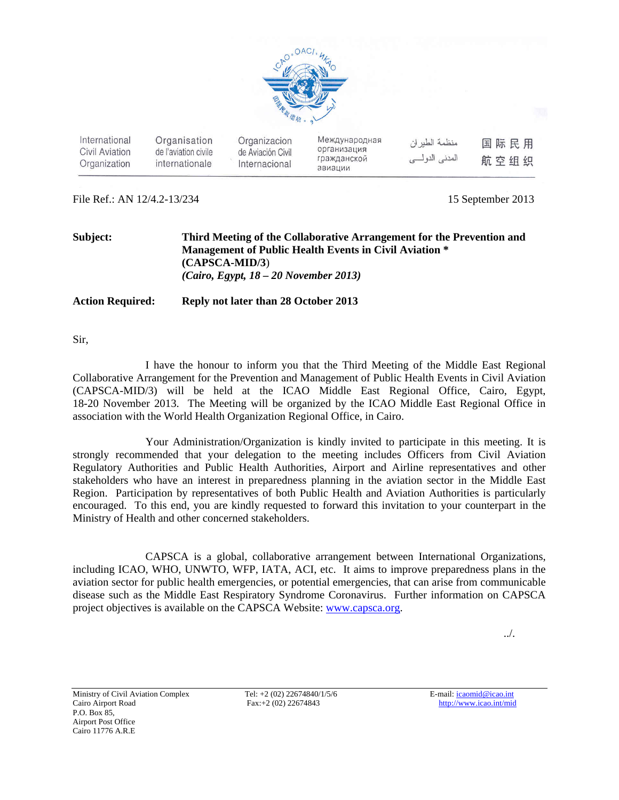

| International<br>Civil Aviation<br>Organization | Organisation<br>de l'aviation civile<br>internationale | Organizacion<br>de Aviación Civil<br>Internacional | Международная<br>организация<br>гражданскои<br>авиации | منظمة الطير ان<br>المدنى الدولسي | 国际民用<br>航空组织 |
|-------------------------------------------------|--------------------------------------------------------|----------------------------------------------------|--------------------------------------------------------|----------------------------------|--------------|
|                                                 |                                                        |                                                    |                                                        |                                  |              |

File Ref.: AN 12/4.2-13/234 15 September 2013

| Subject:                | Third Meeting of the Collaborative Arrangement for the Prevention and<br><b>Management of Public Health Events in Civil Aviation *</b><br>$(CAPSCA\text{-}MID/3)$ |
|-------------------------|-------------------------------------------------------------------------------------------------------------------------------------------------------------------|
| <b>Action Required:</b> | $(Cairo, Egypt, 18-20 November 2013)$<br>Reply not later than 28 October 2013                                                                                     |

Sir,

I have the honour to inform you that the Third Meeting of the Middle East Regional Collaborative Arrangement for the Prevention and Management of Public Health Events in Civil Aviation (CAPSCA-MID/3) will be held at the ICAO Middle East Regional Office, Cairo, Egypt, 18-20 November 2013. The Meeting will be organized by the ICAO Middle East Regional Office in association with the World Health Organization Regional Office, in Cairo.

Your Administration/Organization is kindly invited to participate in this meeting. It is strongly recommended that your delegation to the meeting includes Officers from Civil Aviation Regulatory Authorities and Public Health Authorities, Airport and Airline representatives and other stakeholders who have an interest in preparedness planning in the aviation sector in the Middle East Region. Participation by representatives of both Public Health and Aviation Authorities is particularly encouraged. To this end, you are kindly requested to forward this invitation to your counterpart in the Ministry of Health and other concerned stakeholders.

 CAPSCA is a global, collaborative arrangement between International Organizations, including ICAO, WHO, UNWTO, WFP, IATA, ACI, etc. It aims to improve preparedness plans in the aviation sector for public health emergencies, or potential emergencies, that can arise from communicable disease such as the Middle East Respiratory Syndrome Coronavirus. Further information on CAPSCA project objectives is available on the CAPSCA Website: www.capsca.org.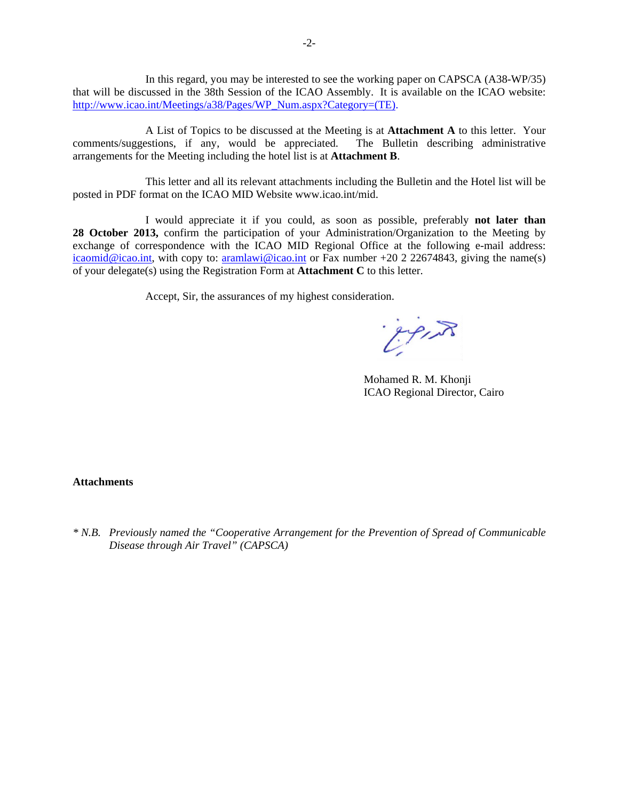In this regard, you may be interested to see the working paper on CAPSCA (A38-WP/35) that will be discussed in the 38th Session of the ICAO Assembly. It is available on the ICAO website: http://www.icao.int/Meetings/a38/Pages/WP\_Num.aspx?Category=(TE).

A List of Topics to be discussed at the Meeting is at **Attachment A** to this letter. Your comments/suggestions, if any, would be appreciated. The Bulletin describing administrative arrangements for the Meeting including the hotel list is at **Attachment B**.

This letter and all its relevant attachments including the Bulletin and the Hotel list will be posted in PDF format on the ICAO MID Website www.icao.int/mid.

I would appreciate it if you could, as soon as possible, preferably **not later than 28 October 2013,** confirm the participation of your Administration/Organization to the Meeting by exchange of correspondence with the ICAO MID Regional Office at the following e-mail address: icaomid@icao.int, with copy to: aramlawi@icao.int or Fax number +20 2 22674843, giving the name(s) of your delegate(s) using the Registration Form at **Attachment C** to this letter.

Accept, Sir, the assurances of my highest consideration.

Expire

 Mohamed R. M. Khonji ICAO Regional Director, Cairo

#### **Attachments**

*\* N.B. Previously named the "Cooperative Arrangement for the Prevention of Spread of Communicable Disease through Air Travel" (CAPSCA)*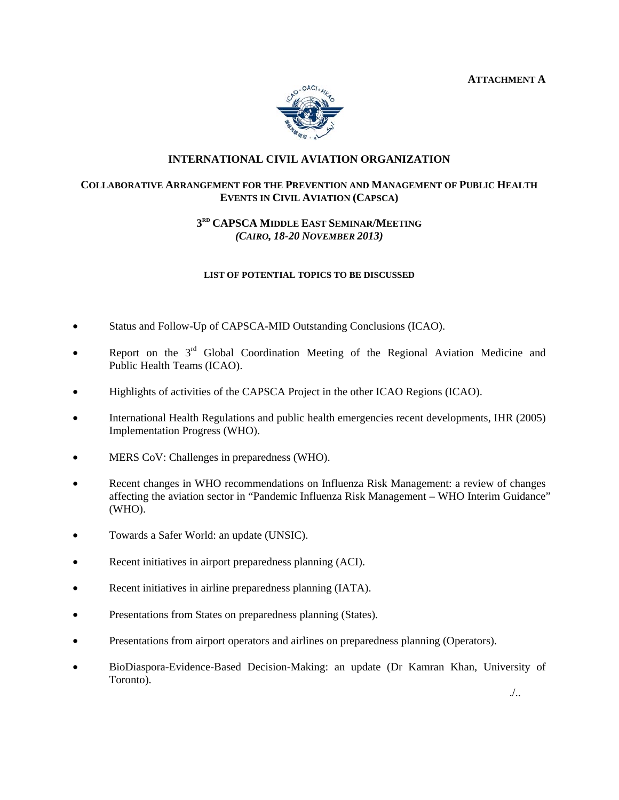**ATTACHMENT A** 



## **INTERNATIONAL CIVIL AVIATION ORGANIZATION**

## **COLLABORATIVE ARRANGEMENT FOR THE PREVENTION AND MANAGEMENT OF PUBLIC HEALTH EVENTS IN CIVIL AVIATION (CAPSCA)**

# **3RD CAPSCA MIDDLE EAST SEMINAR/MEETING** *(CAIRO, 18-20 NOVEMBER 2013)*

#### **LIST OF POTENTIAL TOPICS TO BE DISCUSSED**

- Status and Follow-Up of CAPSCA-MID Outstanding Conclusions (ICAO).
- Report on the  $3<sup>rd</sup>$  Global Coordination Meeting of the Regional Aviation Medicine and Public Health Teams (ICAO).
- Highlights of activities of the CAPSCA Project in the other ICAO Regions (ICAO).
- International Health Regulations and public health emergencies recent developments, IHR (2005) Implementation Progress (WHO).
- MERS CoV: Challenges in preparedness (WHO).
- Recent changes in WHO recommendations on Influenza Risk Management: a review of changes affecting the aviation sector in "Pandemic Influenza Risk Management – WHO Interim Guidance" (WHO).
- Towards a Safer World: an update (UNSIC).
- Recent initiatives in airport preparedness planning (ACI).
- Recent initiatives in airline preparedness planning (IATA).
- Presentations from States on preparedness planning (States).
- Presentations from airport operators and airlines on preparedness planning (Operators).
- BioDiaspora-Evidence-Based Decision-Making: an update (Dr Kamran Khan, University of Toronto).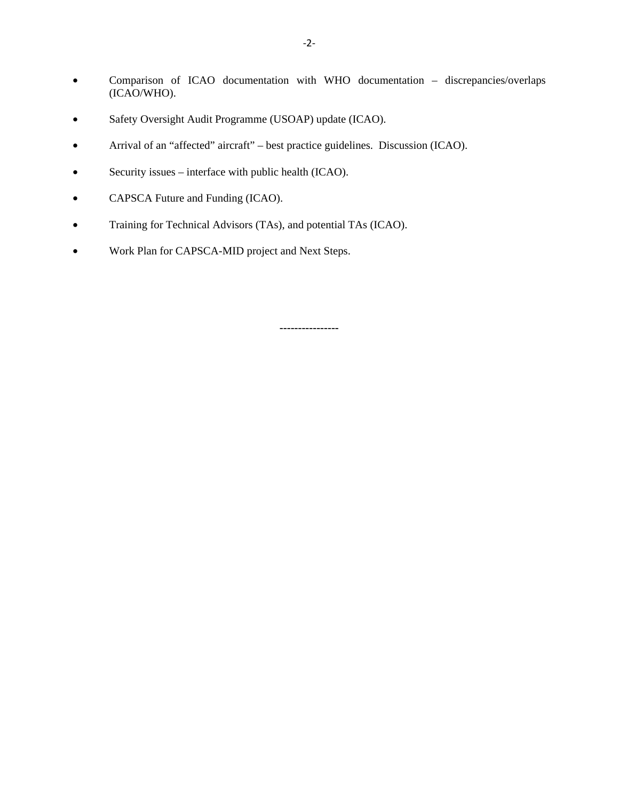- Comparison of ICAO documentation with WHO documentation discrepancies/overlaps (ICAO/WHO).
- Safety Oversight Audit Programme (USOAP) update (ICAO).
- Arrival of an "affected" aircraft" best practice guidelines. Discussion (ICAO).
- Security issues interface with public health (ICAO).
- CAPSCA Future and Funding (ICAO).
- Training for Technical Advisors (TAs), and potential TAs (ICAO).
- Work Plan for CAPSCA-MID project and Next Steps.

**----------------**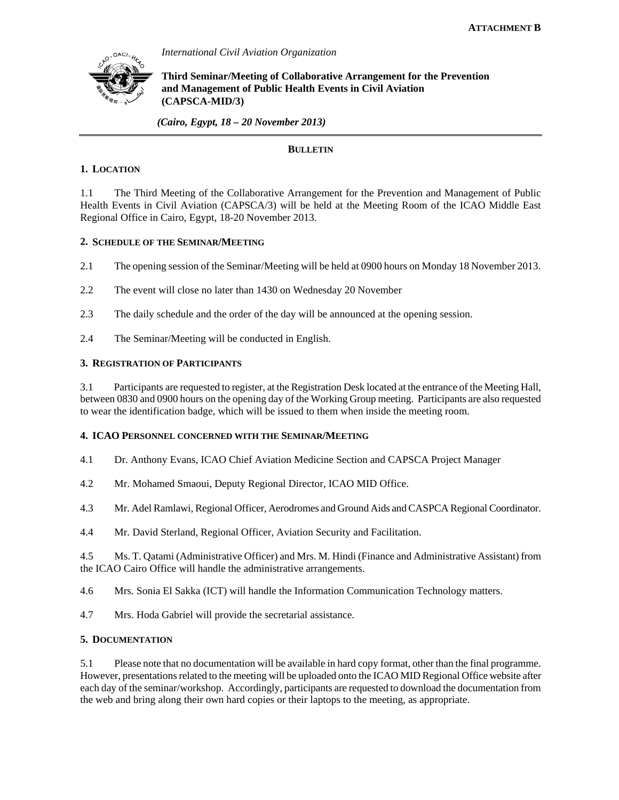

*International Civil Aviation Organization* 

**Third Seminar/Meeting of Collaborative Arrangement for the Prevention and Management of Public Health Events in Civil Aviation (CAPSCA-MID/3)** 

 *(Cairo, Egypt, 18 – 20 November 2013)*

## **BULLETIN**

## **1. LOCATION**

1.1 The Third Meeting of the Collaborative Arrangement for the Prevention and Management of Public Health Events in Civil Aviation (CAPSCA/3) will be held at the Meeting Room of the ICAO Middle East Regional Office in Cairo, Egypt, 18-20 November 2013.

#### **2. SCHEDULE OF THE SEMINAR/MEETING**

- 2.1 The opening session of the Seminar/Meeting will be held at 0900 hours on Monday 18 November 2013.
- 2.2 The event will close no later than 1430 on Wednesday 20 November
- 2.3 The daily schedule and the order of the day will be announced at the opening session.
- 2.4 The Seminar/Meeting will be conducted in English.

## **3. REGISTRATION OF PARTICIPANTS**

3.1 Participants are requested to register, at the Registration Desk located at the entrance of the Meeting Hall, between 0830 and 0900 hours on the opening day of the Working Group meeting. Participants are also requested to wear the identification badge, which will be issued to them when inside the meeting room.

#### **4. ICAO PERSONNEL CONCERNED WITH THE SEMINAR/MEETING**

4.1 Dr. Anthony Evans, ICAO Chief Aviation Medicine Section and CAPSCA Project Manager

4.2 Mr. Mohamed Smaoui, Deputy Regional Director, ICAO MID Office.

4.3 Mr. Adel Ramlawi, Regional Officer, Aerodromes and Ground Aids and CASPCA Regional Coordinator.

4.4 Mr. David Sterland, Regional Officer, Aviation Security and Facilitation.

4.5 Ms. T. Qatami (Administrative Officer) and Mrs. M. Hindi (Finance and Administrative Assistant) from the ICAO Cairo Office will handle the administrative arrangements.

4.6 Mrs. Sonia El Sakka (ICT) will handle the Information Communication Technology matters.

4.7 Mrs. Hoda Gabriel will provide the secretarial assistance.

## **5. DOCUMENTATION**

5.1 Please note that no documentation will be available in hard copy format, other than the final programme. However, presentations related to the meeting will be uploaded onto the ICAO MID Regional Office website after each day of the seminar/workshop. Accordingly, participants are requested to download the documentation from the web and bring along their own hard copies or their laptops to the meeting, as appropriate.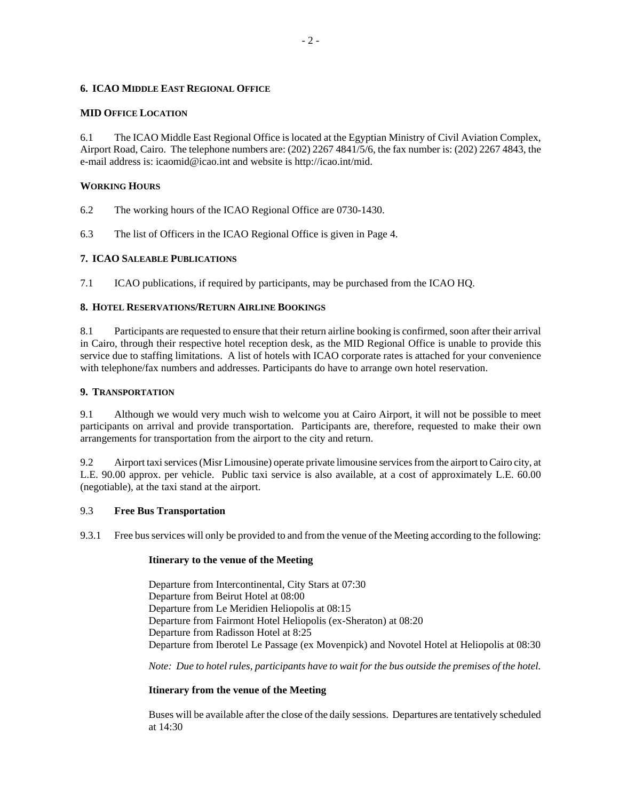#### **6. ICAO MIDDLE EAST REGIONAL OFFICE**

#### **MID OFFICE LOCATION**

6.1 The ICAO Middle East Regional Office is located at the Egyptian Ministry of Civil Aviation Complex, Airport Road, Cairo. The telephone numbers are: (202) 2267 4841/5/6, the fax number is: (202) 2267 4843, the e-mail address is: icaomid@icao.int and website is http://icao.int/mid.

## **WORKING HOURS**

- 6.2 The working hours of the ICAO Regional Office are 0730-1430.
- 6.3 The list of Officers in the ICAO Regional Office is given in Page 4.

## **7. ICAO SALEABLE PUBLICATIONS**

7.1 ICAO publications, if required by participants, may be purchased from the ICAO HQ.

## **8. HOTEL RESERVATIONS/RETURN AIRLINE BOOKINGS**

8.1 Participants are requested to ensure that their return airline booking is confirmed, soon after their arrival in Cairo, through their respective hotel reception desk, as the MID Regional Office is unable to provide this service due to staffing limitations. A list of hotels with ICAO corporate rates is attached for your convenience with telephone/fax numbers and addresses. Participants do have to arrange own hotel reservation.

## **9. TRANSPORTATION**

9.1 Although we would very much wish to welcome you at Cairo Airport, it will not be possible to meet participants on arrival and provide transportation. Participants are, therefore, requested to make their own arrangements for transportation from the airport to the city and return.

9.2 Airport taxi services (Misr Limousine) operate private limousine services from the airport to Cairo city, at L.E. 90.00 approx. per vehicle. Public taxi service is also available, at a cost of approximately L.E. 60.00 (negotiable), at the taxi stand at the airport.

## 9.3 **Free Bus Transportation**

9.3.1 Free bus services will only be provided to and from the venue of the Meeting according to the following:

#### **Itinerary to the venue of the Meeting**

Departure from Intercontinental, City Stars at 07:30 Departure from Beirut Hotel at 08:00 Departure from Le Meridien Heliopolis at 08:15 Departure from Fairmont Hotel Heliopolis (ex-Sheraton) at 08:20 Departure from Radisson Hotel at 8:25 Departure from Iberotel Le Passage (ex Movenpick) and Novotel Hotel at Heliopolis at 08:30

*Note: Due to hotel rules, participants have to wait for the bus outside the premises of the hotel.* 

## **Itinerary from the venue of the Meeting**

Buses will be available after the close of the daily sessions. Departures are tentatively scheduled at 14:30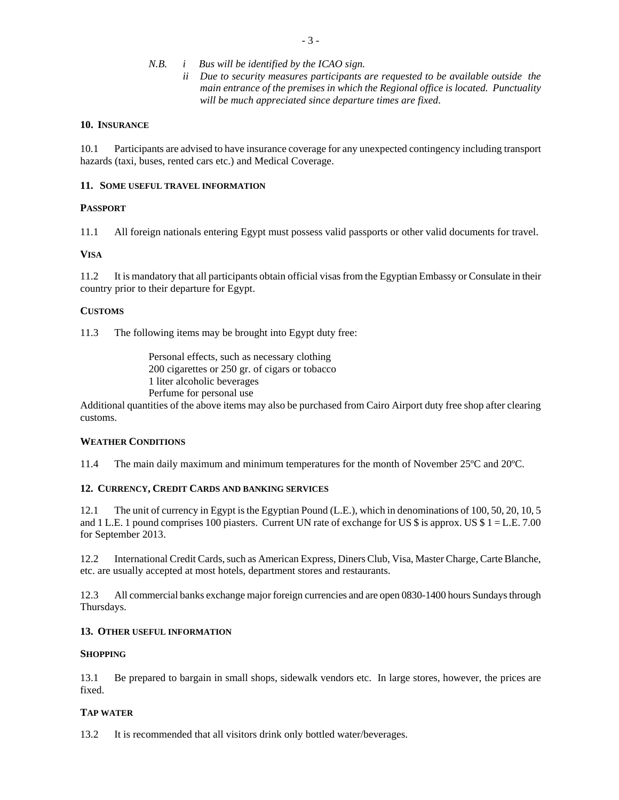- *N.B. i Bus will be identified by the ICAO sign.* 
	- *ii Due to security measures participants are requested to be available outside the main entrance of the premises in which the Regional office is located. Punctuality will be much appreciated since departure times are fixed*.

#### **10. INSURANCE**

10.1 Participants are advised to have insurance coverage for any unexpected contingency including transport hazards (taxi, buses, rented cars etc.) and Medical Coverage.

#### **11. SOME USEFUL TRAVEL INFORMATION**

## **PASSPORT**

11.1 All foreign nationals entering Egypt must possess valid passports or other valid documents for travel.

## **VISA**

11.2 It is mandatory that all participants obtain official visas from the Egyptian Embassy or Consulate in their country prior to their departure for Egypt.

## **CUSTOMS**

11.3 The following items may be brought into Egypt duty free:

Personal effects, such as necessary clothing 200 cigarettes or 250 gr. of cigars or tobacco 1 liter alcoholic beverages Perfume for personal use

Additional quantities of the above items may also be purchased from Cairo Airport duty free shop after clearing customs.

## **WEATHER CONDITIONS**

11.4 The main daily maximum and minimum temperatures for the month of November 25ºC and 20ºC.

#### **12. CURRENCY, CREDIT CARDS AND BANKING SERVICES**

12.1 The unit of currency in Egypt is the Egyptian Pound (L.E.), which in denominations of 100, 50, 20, 10, 5 and 1 L.E. 1 pound comprises 100 piasters. Current UN rate of exchange for US  $\frac{1}{5}$  is approx. US  $\frac{1}{5}$  1 = L.E. 7.00 for September 2013.

12.2 International Credit Cards, such as American Express, Diners Club, Visa, Master Charge, Carte Blanche, etc. are usually accepted at most hotels, department stores and restaurants.

12.3 All commercial banks exchange major foreign currencies and are open 0830-1400 hours Sundays through Thursdays.

#### **13. OTHER USEFUL INFORMATION**

#### **SHOPPING**

13.1 Be prepared to bargain in small shops, sidewalk vendors etc. In large stores, however, the prices are fixed.

## **TAP WATER**

13.2 It is recommended that all visitors drink only bottled water/beverages.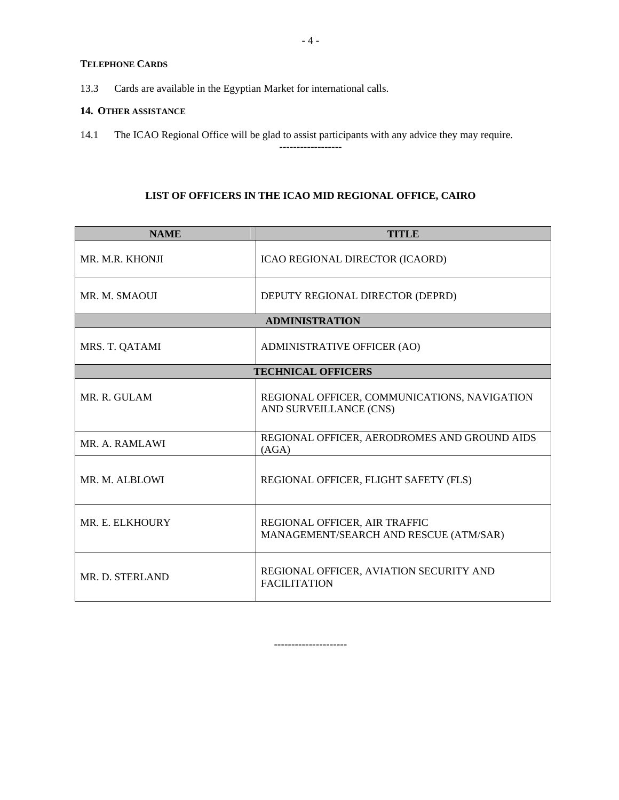# **TELEPHONE CARDS**

13.3 Cards are available in the Egyptian Market for international calls.

#### **14. OTHER ASSISTANCE**

14.1 The ICAO Regional Office will be glad to assist participants with any advice they may require.

# **LIST OF OFFICERS IN THE ICAO MID REGIONAL OFFICE, CAIRO**

------------------

| <b>NAME</b>     | <b>TITLE</b>                                                            |
|-----------------|-------------------------------------------------------------------------|
| MR. M.R. KHONJI | ICAO REGIONAL DIRECTOR (ICAORD)                                         |
| MR. M. SMAOUI   | DEPUTY REGIONAL DIRECTOR (DEPRD)                                        |
|                 | <b>ADMINISTRATION</b>                                                   |
| MRS. T. QATAMI  | ADMINISTRATIVE OFFICER (AO)                                             |
|                 | <b>TECHNICAL OFFICERS</b>                                               |
| MR. R. GULAM    | REGIONAL OFFICER, COMMUNICATIONS, NAVIGATION<br>AND SURVEILLANCE (CNS)  |
| MR. A. RAMLAWI  | REGIONAL OFFICER, AERODROMES AND GROUND AIDS<br>(AGA)                   |
| MR. M. ALBLOWI  | REGIONAL OFFICER, FLIGHT SAFETY (FLS)                                   |
| MR. E. ELKHOURY | REGIONAL OFFICER, AIR TRAFFIC<br>MANAGEMENT/SEARCH AND RESCUE (ATM/SAR) |
| MR. D. STERLAND | REGIONAL OFFICER, AVIATION SECURITY AND<br><b>FACILITATION</b>          |

**---------------------**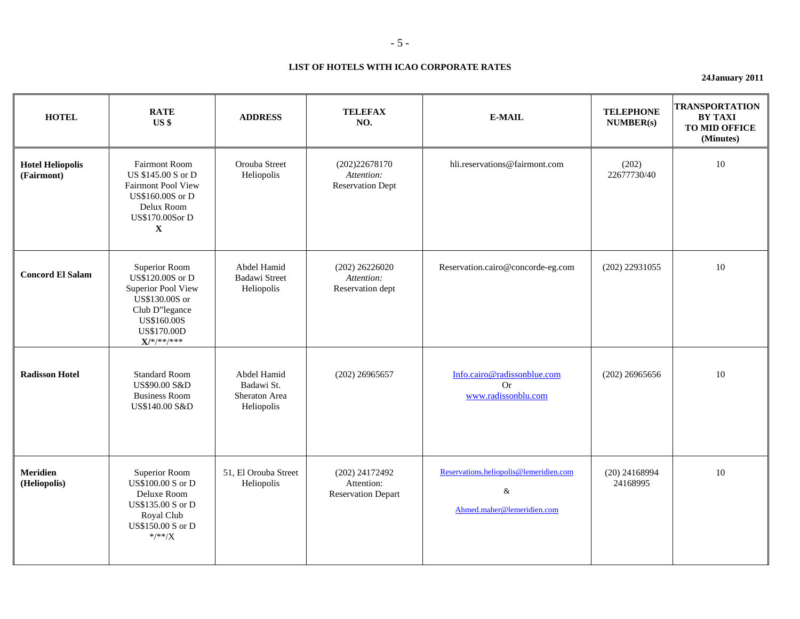#### **LIST OF HOTELS WITH ICAO CORPORATE RATES**

**24January 2011** 

| <b>HOTEL</b>                          | <b>RATE</b><br>US \$                                                                                                                              | <b>ADDRESS</b>                                           | <b>TELEFAX</b><br>NO.                                     | <b>E-MAIL</b>                                                                | <b>TELEPHONE</b><br>NUMBER(s) | <b>TRANSPORTATION</b><br><b>BY TAXI</b><br><b>TO MID OFFICE</b><br>(Minutes) |
|---------------------------------------|---------------------------------------------------------------------------------------------------------------------------------------------------|----------------------------------------------------------|-----------------------------------------------------------|------------------------------------------------------------------------------|-------------------------------|------------------------------------------------------------------------------|
| <b>Hotel Heliopolis</b><br>(Fairmont) | <b>Fairmont Room</b><br>US \$145.00 S or D<br><b>Fairmont Pool View</b><br>US\$160,00S or D<br>Delux Room<br>US\$170.00Sor D<br>$\mathbf X$       | Orouba Street<br>Heliopolis                              | (202)22678170<br>Attention:<br><b>Reservation Dept</b>    | hli.reservations@fairmont.com                                                | (202)<br>22677730/40          | 10                                                                           |
| <b>Concord El Salam</b>               | Superior Room<br>US\$120.00S or D<br>Superior Pool View<br>US\$130.00S or<br>Club D"legance<br>US\$160.00S<br><b>US\$170.00D</b><br>$X$ /*/**/*** | Abdel Hamid<br><b>Badawi Street</b><br>Heliopolis        | $(202)$ 26226020<br>Attention:<br>Reservation dept        | Reservation.cairo@concorde-eg.com                                            | $(202)$ 22931055              | 10                                                                           |
| <b>Radisson Hotel</b>                 | <b>Standard Room</b><br>US\$90.00 S&D<br><b>Business Room</b><br>US\$140.00 S&D                                                                   | Abdel Hamid<br>Badawi St.<br>Sheraton Area<br>Heliopolis | $(202)$ 26965657                                          | Info.cairo@radissonblue.com<br><b>Or</b><br>www.radissonblu.com              | $(202)$ 26965656              | 10                                                                           |
| Meridien<br>(Heliopolis)              | Superior Room<br>US\$100.00 S or D<br>Deluxe Room<br>US\$135.00 S or D<br>Royal Club<br>US\$150.00 S or D<br>$*$ /**/X                            | 51, El Orouba Street<br>Heliopolis                       | (202) 24172492<br>Attention:<br><b>Reservation Depart</b> | Reservations.heliopolis@lemeridien.com<br>$\&$<br>Ahmed.maher@lemeridien.com | $(20)$ 24168994<br>24168995   | 10                                                                           |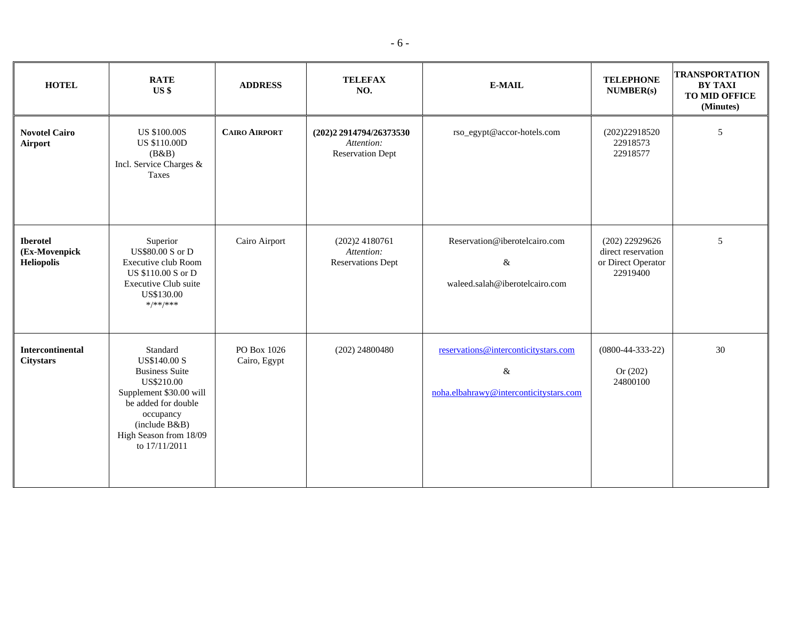| <b>HOTEL</b>                                          | <b>RATE</b><br>US <sub>3</sub>                                                                                                                                                                    | <b>ADDRESS</b>              | <b>TELEFAX</b><br>NO.                                            | E-MAIL                                                                                 | <b>TELEPHONE</b><br>NUMBER(s)                                            | <b>TRANSPORTATION</b><br><b>BY TAXI</b><br>TO MID OFFICE<br>(Minutes) |
|-------------------------------------------------------|---------------------------------------------------------------------------------------------------------------------------------------------------------------------------------------------------|-----------------------------|------------------------------------------------------------------|----------------------------------------------------------------------------------------|--------------------------------------------------------------------------|-----------------------------------------------------------------------|
| <b>Novotel Cairo</b><br>Airport                       | <b>US \$100.00S</b><br><b>US \$110.00D</b><br>(B&B)<br>Incl. Service Charges &<br>Taxes                                                                                                           | <b>CAIRO AIRPORT</b>        | (202)2 2914794/26373530<br>Attention:<br><b>Reservation Dept</b> | rso_egypt@accor-hotels.com                                                             | (202)22918520<br>22918573<br>22918577                                    | $\sqrt{5}$                                                            |
| <b>Iberotel</b><br>(Ex-Movenpick<br><b>Heliopolis</b> | Superior<br><b>US\$80.00 S or D</b><br>Executive club Room<br>US \$110.00 S or D<br>Executive Club suite<br>US\$130.00<br>$*$ /**/***                                                             | Cairo Airport               | (202)24180761<br>Attention:<br><b>Reservations Dept</b>          | Reservation@iberotelcairo.com<br>&<br>waleed.salah@iberotelcairo.com                   | $(202)$ 22929626<br>direct reservation<br>or Direct Operator<br>22919400 | $\sqrt{5}$                                                            |
| <b>Intercontinental</b><br><b>Citystars</b>           | Standard<br><b>US\$140.00 S</b><br><b>Business Suite</b><br>US\$210.00<br>Supplement \$30.00 will<br>be added for double<br>occupancy<br>(include B&B)<br>High Season from 18/09<br>to 17/11/2011 | PO Box 1026<br>Cairo, Egypt | $(202)$ 24800480                                                 | reservations@interconticitystars.com<br>$\&$<br>noha.elbahrawy@interconticitystars.com | $(0800-44-333-22)$<br>Or $(202)$<br>24800100                             | 30                                                                    |

- 6 -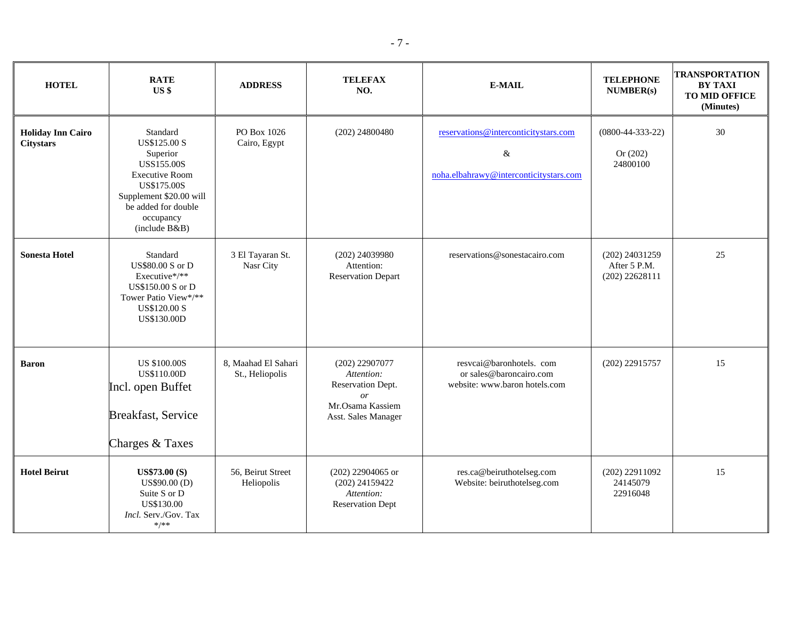| <b>HOTEL</b>                                 | <b>RATE</b><br>US <sub>s</sub>                                                                                                                                                           | <b>ADDRESS</b>                         | <b>TELEFAX</b><br>NO.                                                                                             | E-MAIL                                                                                 | <b>TELEPHONE</b><br>NUMBER(s)                      | <b>TRANSPORTATION</b><br><b>BY TAXI</b><br><b>TO MID OFFICE</b><br>(Minutes) |
|----------------------------------------------|------------------------------------------------------------------------------------------------------------------------------------------------------------------------------------------|----------------------------------------|-------------------------------------------------------------------------------------------------------------------|----------------------------------------------------------------------------------------|----------------------------------------------------|------------------------------------------------------------------------------|
| <b>Holiday Inn Cairo</b><br><b>Citystars</b> | Standard<br><b>US\$125.00 S</b><br>Superior<br><b>USS155.00S</b><br><b>Executive Room</b><br>US\$175.00S<br>Supplement \$20.00 will<br>be added for double<br>occupancy<br>(include B&B) | PO Box 1026<br>Cairo, Egypt            | $(202)$ 24800480                                                                                                  | reservations@interconticitystars.com<br>$\&$<br>noha.elbahrawy@interconticitystars.com | $(0800-44-333-22)$<br>Or $(202)$<br>24800100       | 30                                                                           |
| <b>Sonesta Hotel</b>                         | Standard<br>US\$80.00 S or D<br>Executive*/**<br>US\$150.00 S or D<br>Tower Patio View*/**<br><b>US\$120.00 S</b><br>US\$130.00D                                                         | 3 El Tayaran St.<br>Nasr City          | (202) 24039980<br>Attention:<br><b>Reservation Depart</b>                                                         | reservations@sonestacairo.com                                                          | (202) 24031259<br>After 5 P.M.<br>$(202)$ 22628111 | 25                                                                           |
| <b>Baron</b>                                 | <b>US \$100.00S</b><br><b>US\$110.00D</b><br>Incl. open Buffet<br>Breakfast, Service<br>Charges & Taxes                                                                                  | 8, Maahad El Sahari<br>St., Heliopolis | $(202)$ 22907077<br>Attention:<br>Reservation Dept.<br>$\overline{or}$<br>Mr.Osama Kassiem<br>Asst. Sales Manager | resvcai@baronhotels.com<br>or sales@baroncairo.com<br>website: www.baron hotels.com    | (202) 22915757                                     | 15                                                                           |
| <b>Hotel Beirut</b>                          | <b>US\$73.00 (S)</b><br>US\$90.00 (D)<br>Suite S or D<br>US\$130.00<br>Incl. Serv./Gov. Tax<br>$*/**$                                                                                    | 56, Beirut Street<br>Heliopolis        | (202) 22904065 or<br>$(202)$ 24159422<br>Attention:<br><b>Reservation Dept</b>                                    | res.ca@beiruthotelseg.com<br>Website: beiruthotelseg.com                               | $(202)$ 22911092<br>24145079<br>22916048           | 15                                                                           |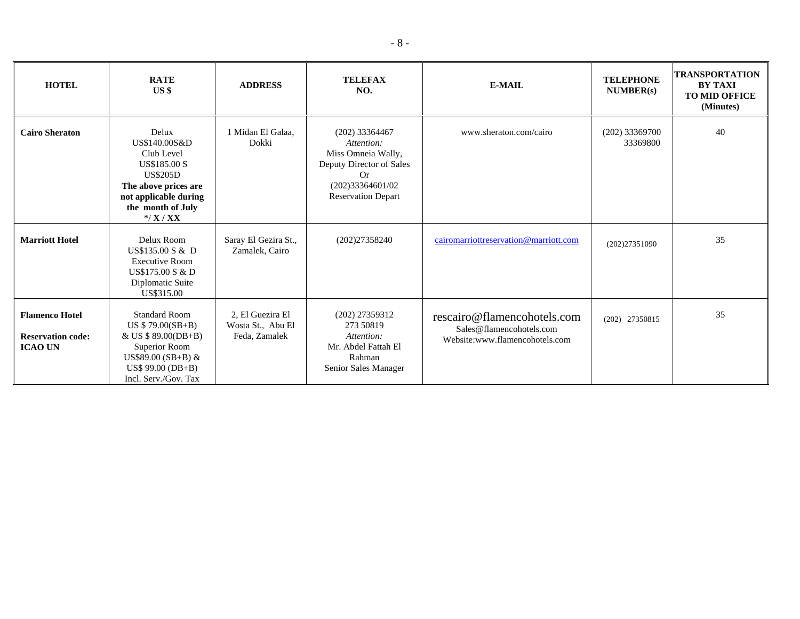| <b>HOTEL</b>                                                        | <b>RATE</b><br>$US$ \$                                                                                                                                            | <b>ADDRESS</b>                                         | <b>TELEFAX</b><br>NO.                                                                                                                          | <b>E-MAIL</b>                                                                             | <b>TELEPHONE</b><br>NUMBER(s) | TRANSPORTATION<br><b>BY TAXI</b><br><b>TO MID OFFICE</b><br>(Minutes) |
|---------------------------------------------------------------------|-------------------------------------------------------------------------------------------------------------------------------------------------------------------|--------------------------------------------------------|------------------------------------------------------------------------------------------------------------------------------------------------|-------------------------------------------------------------------------------------------|-------------------------------|-----------------------------------------------------------------------|
| <b>Cairo Sheraton</b>                                               | Delux<br>US\$140.00S&D<br>Club Level<br><b>US\$185.00 S</b><br><b>US\$205D</b><br>The above prices are<br>not applicable during<br>the month of July<br>$*$ /X/XX | 1 Midan El Galaa,<br>Dokki                             | $(202)$ 33364467<br>Attention:<br>Miss Omneia Wally,<br>Deputy Director of Sales<br><b>Or</b><br>(202)33364601/02<br><b>Reservation Depart</b> | www.sheraton.com/cairo                                                                    | $(202)$ 33369700<br>33369800  | 40                                                                    |
| <b>Marriott Hotel</b>                                               | Delux Room<br>US\$135.00 S & D<br><b>Executive Room</b><br>US\$175.00 S & D<br>Diplomatic Suite<br>US\$315.00                                                     | Saray El Gezira St.,<br>Zamalek, Cairo                 | (202)27358240                                                                                                                                  | cairomarriottreservation@marriott.com                                                     | (202)27351090                 | 35                                                                    |
| <b>Flamenco Hotel</b><br><b>Reservation code:</b><br><b>ICAO UN</b> | <b>Standard Room</b><br>US $$79.00(SB+B)$<br>& US \$ 89.00(DB+B)<br>Superior Room<br>US\$89.00 (SB+B) $&$<br>$US$ 99.00 (DB+B)$<br>Incl. Serv./Gov. Tax           | 2, El Guezira El<br>Wosta St., Abu El<br>Feda, Zamalek | $(202)$ 27359312<br>273 50819<br>Attention:<br>Mr. Abdel Fattah El<br>Rahman<br>Senior Sales Manager                                           | rescairo@flamencohotels.com<br>Sales@flamencohotels.com<br>Website:www.flamencohotels.com | (202) 27350815                | 35                                                                    |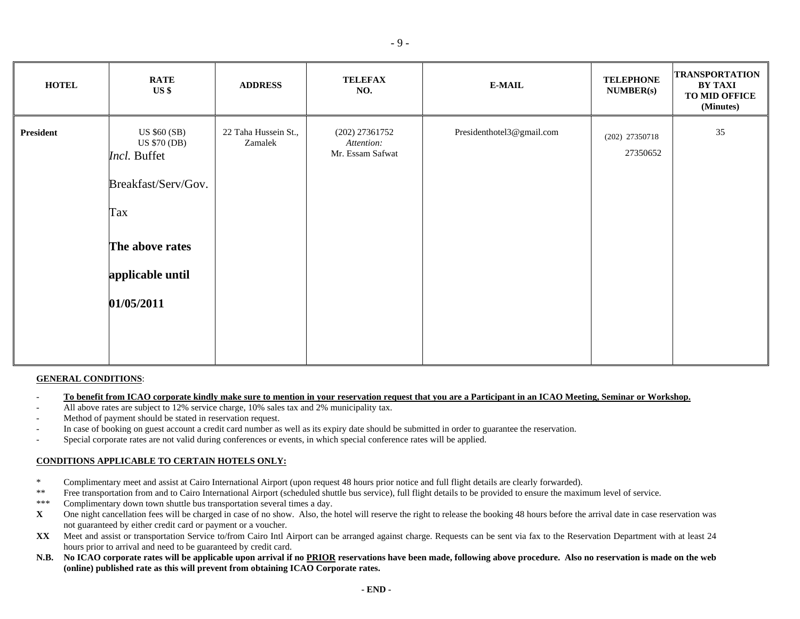| <b>HOTEL</b>     | <b>RATE</b><br>$US$ \$                                                                                                                 | <b>ADDRESS</b>                  | <b>TELEFAX</b><br>NO.                            | <b>E-MAIL</b>             | <b>TELEPHONE</b><br><b>NUMBER(s)</b> | <b>TRANSPORTATION</b><br><b>BY TAXI</b><br>TO MID OFFICE<br>(Minutes) |
|------------------|----------------------------------------------------------------------------------------------------------------------------------------|---------------------------------|--------------------------------------------------|---------------------------|--------------------------------------|-----------------------------------------------------------------------|
| <b>President</b> | US \$60 (SB)<br><b>US \$70 (DB)</b><br>Incl. Buffet<br>Breakfast/Serv/Gov.<br>Tax<br>The above rates<br>applicable until<br>01/05/2011 | 22 Taha Hussein St.,<br>Zamalek | (202) 27361752<br>Attention:<br>Mr. Essam Safwat | Presidenthotel3@gmail.com | (202) 27350718<br>27350652           | 35                                                                    |

#### **GENERAL CONDITIONS**:

- To benefit from ICAO corporate kindly make sure to mention in your reservation request that you are a Participant in an ICAO Meeting, Seminar or Workshop.
- All above rates are subject to 12% service charge, 10% sales tax and 2% municipality tax.
- Method of payment should be stated in reservation request.
- In case of booking on guest account a credit card number as well as its expiry date should be submitted in order to guarantee the reservation.
- Special corporate rates are not valid during conferences or events, in which special conference rates will be applied.

## **CONDITIONS APPLICABLE TO CERTAIN HOTELS ONLY:**

- \* Complimentary meet and assist at Cairo International Airport (upon request 48 hours prior notice and full flight details are clearly forwarded).<br>\*\* Free transportation from and to Cairo International Airport (scheduled s
- \*\* Free transportation from and to Cairo International Airport (scheduled shuttle bus service), full flight details to be provided to ensure the maximum level of service.<br>\*\*\* Complimentary down town shuttle bus transportat
- Complimentary down town shuttle bus transportation several times a day.
- **X** One night cancellation fees will be charged in case of no show. Also, the hotel will reserve the right to release the booking 48 hours before the arrival date in case reservation was not guaranteed by either credit card or payment or a voucher.
- **XX** Meet and assist or transportation Service to/from Cairo Intl Airport can be arranged against charge. Requests can be sent via fax to the Reservation Department with at least 24 hours prior to arrival and need to be guaranteed by credit card.
- **N.B. No ICAO corporate rates will be applicable upon arrival if no PRIOR reservations have been made, following above procedure. Also no reservation is made on the web (online) published rate as this will prevent from obtaining ICAO Corporate rates.**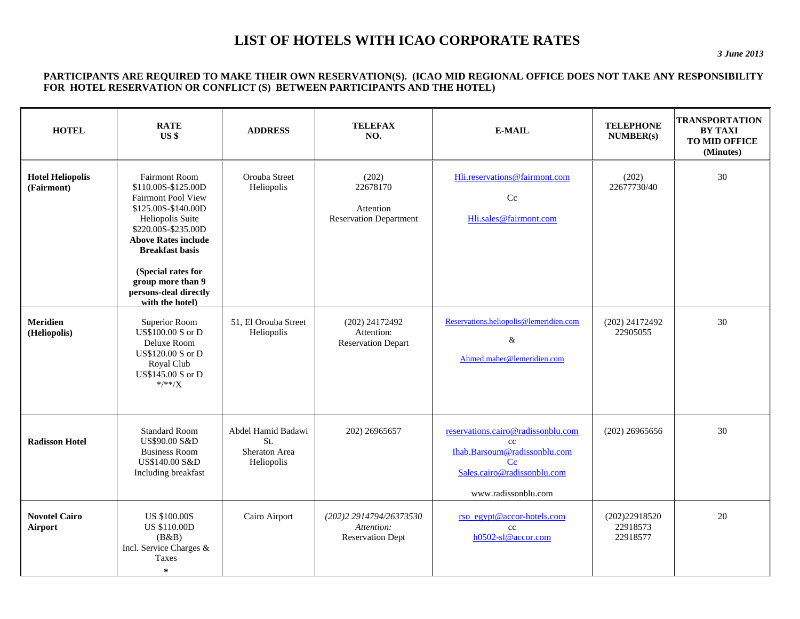# **LIST OF HOTELS WITH ICAO CORPORATE RATES**

*3 June 2013* 

#### **PARTICIPANTS ARE REQUIRED TO MAKE THEIR OWN RESERVATION(S). (ICAO MID REGIONAL OFFICE DOES NOT TAKE ANY RESPONSIBILITY FOR HOTEL RESERVATION OR CONFLICT (S) BETWEEN PARTICIPANTS AND THE HOTEL)**

| <b>HOTEL</b>                          | <b>RATE</b><br>US <sub>s</sub>                                                                                                                                                                                                                                                            | <b>ADDRESS</b>                                           | <b>TELEFAX</b><br>NO.                                            | <b>E-MAIL</b>                                                                                                                                 | <b>TELEPHONE</b><br>NUMBER(s)         | <b>TRANSPORTATION</b><br><b>BY TAXI</b><br>TO MID OFFICE<br>(Minutes) |
|---------------------------------------|-------------------------------------------------------------------------------------------------------------------------------------------------------------------------------------------------------------------------------------------------------------------------------------------|----------------------------------------------------------|------------------------------------------------------------------|-----------------------------------------------------------------------------------------------------------------------------------------------|---------------------------------------|-----------------------------------------------------------------------|
| <b>Hotel Heliopolis</b><br>(Fairmont) | <b>Fairmont Room</b><br>\$110.00S-\$125.00D<br><b>Fairmont Pool View</b><br>\$125.00S-\$140.00D<br>Heliopolis Suite<br>\$220.00S-\$235.00D<br><b>Above Rates include</b><br><b>Breakfast basis</b><br>(Special rates for<br>group more than 9<br>persons-deal directly<br>with the hotel) | Orouba Street<br>Heliopolis                              | (202)<br>22678170<br>Attention<br><b>Reservation Department</b>  | Hli.reservations@fairmont.com<br>Cc<br>Hli.sales@fairmont.com                                                                                 | (202)<br>22677730/40                  | 30                                                                    |
| <b>Meridien</b><br>(Heliopolis)       | Superior Room<br>US\$100.00 S or D<br>Deluxe Room<br>US\$120.00 S or D<br>Royal Club<br>US\$145.00 S or D<br>$^{*/*}$                                                                                                                                                                     | 51. El Orouba Street<br>Heliopolis                       | (202) 24172492<br>Attention:<br><b>Reservation Depart</b>        | Reservations.heliopolis@lemeridien.com<br>$\&$<br>Ahmed.maher@lemeridien.com                                                                  | (202) 24172492<br>22905055            | 30                                                                    |
| <b>Radisson Hotel</b>                 | <b>Standard Room</b><br><b>US\$90.00 S&amp;D</b><br><b>Business Room</b><br>US\$140.00 S&D<br>Including breakfast                                                                                                                                                                         | Abdel Hamid Badawi<br>St.<br>Sheraton Area<br>Heliopolis | 202) 26965657                                                    | reservations.cairo@radissonblu.com<br>cc<br>Ihab.Barsoum@radissonblu.com<br>$C_{\rm C}$<br>Sales.cairo@radissonblu.com<br>www.radissonblu.com | $(202)$ 26965656                      | 30                                                                    |
| <b>Novotel Cairo</b><br>Airport       | <b>US \$100.00S</b><br><b>US \$110.00D</b><br>(B&B)<br>Incl. Service Charges &<br>Taxes<br>$\ast$                                                                                                                                                                                         | Cairo Airport                                            | (202)2 2914794/26373530<br>Attention:<br><b>Reservation Dept</b> | rso egypt@accor-hotels.com<br>cc<br>h0502-sl@accor.com                                                                                        | (202)22918520<br>22918573<br>22918577 | 20                                                                    |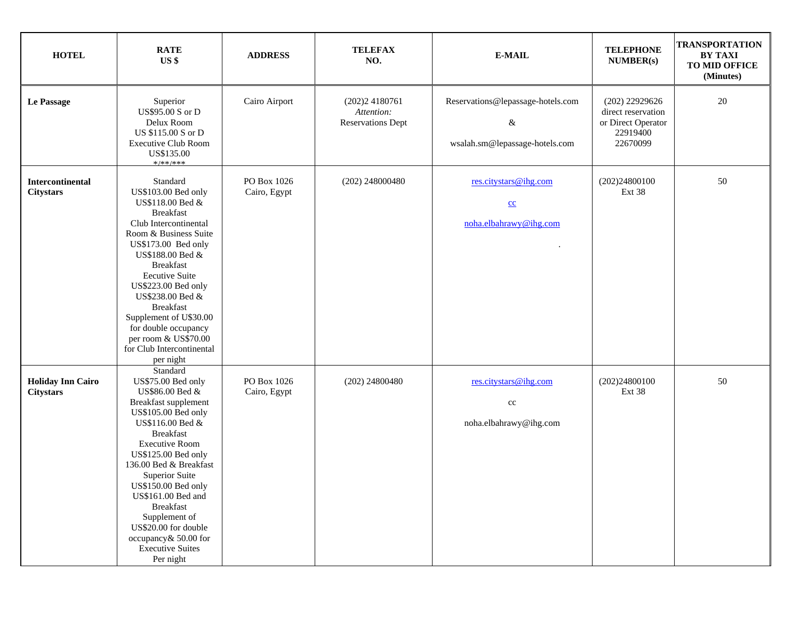| <b>HOTEL</b>                                 | <b>RATE</b><br>US \$                                                                                                                                                                                                                                                                                                                                                                                            | <b>ADDRESS</b>              | <b>TELEFAX</b><br>NO.                                   | <b>E-MAIL</b>                                                            | <b>TELEPHONE</b><br><b>NUMBER(s)</b>                                                 | <b>TRANSPORTATION</b><br><b>BY TAXI</b><br>TO MID OFFICE<br>(Minutes) |
|----------------------------------------------|-----------------------------------------------------------------------------------------------------------------------------------------------------------------------------------------------------------------------------------------------------------------------------------------------------------------------------------------------------------------------------------------------------------------|-----------------------------|---------------------------------------------------------|--------------------------------------------------------------------------|--------------------------------------------------------------------------------------|-----------------------------------------------------------------------|
| Le Passage                                   | Superior<br>US\$95.00 S or D<br>Delux Room<br>US \$115.00 S or D<br><b>Executive Club Room</b><br>US\$135.00<br>*/**/***                                                                                                                                                                                                                                                                                        | Cairo Airport               | (202)24180761<br>Attention:<br><b>Reservations Dept</b> | Reservations@lepassage-hotels.com<br>&<br>wsalah.sm@lepassage-hotels.com | $(202)$ 22929626<br>direct reservation<br>or Direct Operator<br>22919400<br>22670099 | 20                                                                    |
| Intercontinental<br><b>Citystars</b>         | Standard<br>US\$103.00 Bed only<br>US\$118.00 Bed &<br><b>Breakfast</b><br>Club Intercontinental<br>Room & Business Suite<br>US\$173.00 Bed only<br>US\$188.00 Bed &<br><b>Breakfast</b><br><b>Eecutive Suite</b><br>US\$223.00 Bed only<br>US\$238.00 Bed &<br><b>Breakfast</b><br>Supplement of U\$30.00<br>for double occupancy<br>per room & US\$70.00<br>for Club Intercontinental<br>per night            | PO Box 1026<br>Cairo, Egypt | $(202)$ 248000480                                       | res.citystars@ihg.com<br>$\underline{cc}$<br>noha.elbahrawy@ihg.com      | (202)24800100<br>Ext 38                                                              | 50                                                                    |
| <b>Holiday Inn Cairo</b><br><b>Citystars</b> | Standard<br>US\$75.00 Bed only<br>US\$86.00 Bed &<br>Breakfast supplement<br>US\$105.00 Bed only<br>US\$116.00 Bed &<br><b>Breakfast</b><br><b>Executive Room</b><br>US\$125.00 Bed only<br>136.00 Bed & Breakfast<br>Superior Suite<br>US\$150.00 Bed only<br>US\$161.00 Bed and<br><b>Breakfast</b><br>Supplement of<br>US\$20.00 for double<br>occupancy & 50.00 for<br><b>Executive Suites</b><br>Per night | PO Box 1026<br>Cairo, Egypt | $(202)$ 24800480                                        | res.citystars@ihg.com<br>$\rm cc$<br>noha.elbahrawy@ihg.com              | (202)24800100<br>Ext 38                                                              | 50                                                                    |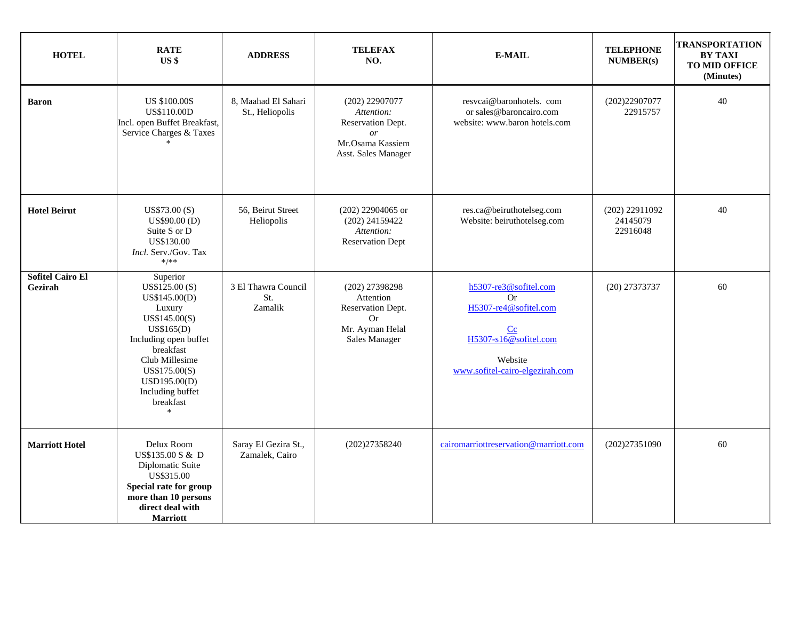| <b>HOTEL</b>                       | <b>RATE</b><br>US <sub>3</sub>                                                                                                                                                                                           | <b>ADDRESS</b>                         | <b>TELEFAX</b><br>NO.                                                                                           | <b>E-MAIL</b>                                                                                                                     | <b>TELEPHONE</b><br><b>NUMBER(s)</b>     | <b>TRANSPORTATION</b><br><b>BY TAXI</b><br>TO MID OFFICE<br>(Minutes) |
|------------------------------------|--------------------------------------------------------------------------------------------------------------------------------------------------------------------------------------------------------------------------|----------------------------------------|-----------------------------------------------------------------------------------------------------------------|-----------------------------------------------------------------------------------------------------------------------------------|------------------------------------------|-----------------------------------------------------------------------|
| <b>Baron</b>                       | <b>US \$100.00S</b><br><b>US\$110.00D</b><br>Incl. open Buffet Breakfast,<br>Service Charges & Taxes                                                                                                                     | 8, Maahad El Sahari<br>St., Heliopolis | $(202)$ 22907077<br>Attention:<br>Reservation Dept.<br><sub>or</sub><br>Mr.Osama Kassiem<br>Asst. Sales Manager | resveai@baronhotels.com<br>or sales@baroncairo.com<br>website: www.baron hotels.com                                               | (202)22907077<br>22915757                | 40                                                                    |
| <b>Hotel Beirut</b>                | US\$73.00(S)<br>US\$90.00 (D)<br>Suite S or D<br>US\$130.00<br><i>Incl.</i> Serv./Gov. Tax<br>$*$ /**                                                                                                                    | 56, Beirut Street<br>Heliopolis        | $(202)$ 22904065 or<br>(202) 24159422<br>Attention:<br><b>Reservation Dept</b>                                  | res.ca@beiruthotelseg.com<br>Website: beiruthotelseg.com                                                                          | $(202)$ 22911092<br>24145079<br>22916048 | 40                                                                    |
| <b>Sofitel Cairo El</b><br>Gezirah | Superior<br>US\$125.00 (S)<br>US\$145.00(D)<br>Luxury<br>US\$145.00(S)<br>US\$165(D)<br>Including open buffet<br>breakfast<br>Club Millesime<br>US\$175.00(S)<br>USD195.00(D)<br>Including buffet<br>breakfast<br>$\ast$ | 3 El Thawra Council<br>St.<br>Zamalik  | (202) 27398298<br>Attention<br>Reservation Dept.<br><b>Or</b><br>Mr. Ayman Helal<br>Sales Manager               | h5307-re3@sofitel.com<br>Or<br>H5307-re4@sofitel.com<br>Cc<br>H5307-s16@sofitel.com<br>Website<br>www.sofitel-cairo-elgezirah.com | (20) 27373737                            | 60                                                                    |
| <b>Marriott Hotel</b>              | Delux Room<br>US\$135.00 S & D<br>Diplomatic Suite<br>US\$315.00<br>Special rate for group<br>more than 10 persons<br>direct deal with<br><b>Marriott</b>                                                                | Saray El Gezira St.,<br>Zamalek, Cairo | (202)27358240                                                                                                   | cairomarriottreservation@marriott.com                                                                                             | (202)27351090                            | 60                                                                    |